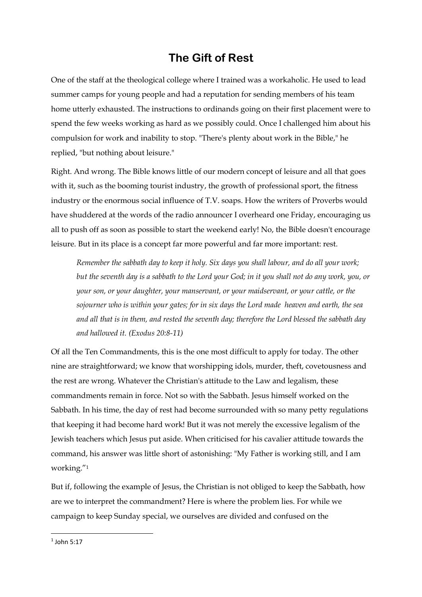# **The Gift of Rest**

One of the staff at the theological college where I trained was a workaholic. He used to lead summer camps for young people and had a reputation for sending members of his team home utterly exhausted. The instructions to ordinands going on their first placement were to spend the few weeks working as hard as we possibly could. Once I challenged him about his compulsion for work and inability to stop. "There's plenty about work in the Bible," he replied, "but nothing about leisure."

Right. And wrong. The Bible knows little of our modern concept of leisure and all that goes with it, such as the booming tourist industry, the growth of professional sport, the fitness industry or the enormous social influence of T.V. soaps. How the writers of Proverbs would have shuddered at the words of the radio announcer I overheard one Friday, encouraging us all to push off as soon as possible to start the weekend early! No, the Bible doesn't encourage leisure. But in its place is a concept far more powerful and far more important: rest.

*Remember the sabbath day to keep it holy. Six days you shall labour, and do all your work; but the seventh day is a sabbath to the Lord your God; in it you shall not do any work, you, or your son, or your daughter, your manservant, or your maidservant, or your cattle, or the sojourner who is within your gates; for in six days the Lord made heaven and earth, the sea and all that is in them, and rested the seventh day; therefore the Lord blessed the sabbath day and hallowed it. (Exodus 20:8-11)*

Of all the Ten Commandments, this is the one most difficult to apply for today. The other nine are straightforward; we know that worshipping idols, murder, theft, covetousness and the rest are wrong. Whatever the Christian's attitude to the Law and legalism, these commandments remain in force. Not so with the Sabbath. Jesus himself worked on the Sabbath. In his time, the day of rest had become surrounded with so many petty regulations that keeping it had become hard work! But it was not merely the excessive legalism of the Jewish teachers which Jesus put aside. When criticised for his cavalier attitude towards the command, his answer was little short of astonishing: "My Father is working still, and I am working."<sup>1</sup>

But if, following the example of Jesus, the Christian is not obliged to keep the Sabbath, how are we to interpret the commandment? Here is where the problem lies. For while we campaign to keep Sunday special, we ourselves are divided and confused on the

 $<sup>1</sup>$  John 5:17</sup>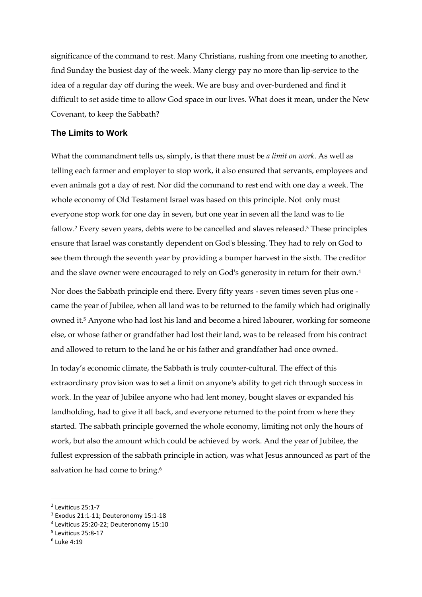significance of the command to rest. Many Christians, rushing from one meeting to another, find Sunday the busiest day of the week. Many clergy pay no more than lip-service to the idea of a regular day off during the week. We are busy and over-burdened and find it difficult to set aside time to allow God space in our lives. What does it mean, under the New Covenant, to keep the Sabbath?

#### **The Limits to Work**

What the commandment tells us, simply, is that there must be *a limit on work*. As well as telling each farmer and employer to stop work, it also ensured that servants, employees and even animals got a day of rest. Nor did the command to rest end with one day a week. The whole economy of Old Testament Israel was based on this principle. Not only must everyone stop work for one day in seven, but one year in seven all the land was to lie fallow.<sup>2</sup> Every seven years, debts were to be cancelled and slaves released.<sup>3</sup> These principles ensure that Israel was constantly dependent on God's blessing. They had to rely on God to see them through the seventh year by providing a bumper harvest in the sixth. The creditor and the slave owner were encouraged to rely on God's generosity in return for their own.<sup>4</sup>

Nor does the Sabbath principle end there. Every fifty years - seven times seven plus one came the year of Jubilee, when all land was to be returned to the family which had originally owned it.<sup>5</sup> Anyone who had lost his land and become a hired labourer, working for someone else, or whose father or grandfather had lost their land, was to be released from his contract and allowed to return to the land he or his father and grandfather had once owned.

In today's economic climate, the Sabbath is truly counter-cultural. The effect of this extraordinary provision was to set a limit on anyone's ability to get rich through success in work. In the year of Jubilee anyone who had lent money, bought slaves or expanded his landholding, had to give it all back, and everyone returned to the point from where they started. The sabbath principle governed the whole economy, limiting not only the hours of work, but also the amount which could be achieved by work. And the year of Jubilee, the fullest expression of the sabbath principle in action, was what Jesus announced as part of the salvation he had come to bring.<sup>6</sup>

<sup>2</sup> Leviticus 25:1-7

<sup>3</sup> Exodus 21:1-11; Deuteronomy 15:1-18

<sup>4</sup> Leviticus 25:20-22; Deuteronomy 15:10

<sup>5</sup> Leviticus 25:8-17

<sup>6</sup> Luke 4:19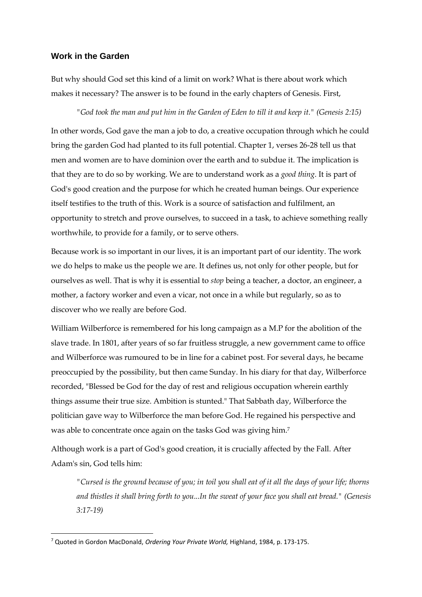## **Work in the Garden**

But why should God set this kind of a limit on work? What is there about work which makes it necessary? The answer is to be found in the early chapters of Genesis. First,

*"God took the man and put him in the Garden of Eden to till it and keep it." (Genesis 2:15)*

In other words, God gave the man a job to do, a creative occupation through which he could bring the garden God had planted to its full potential. Chapter 1, verses 26-28 tell us that men and women are to have dominion over the earth and to subdue it. The implication is that they are to do so by working. We are to understand work as a *good thing*. It is part of God's good creation and the purpose for which he created human beings. Our experience itself testifies to the truth of this. Work is a source of satisfaction and fulfilment, an opportunity to stretch and prove ourselves, to succeed in a task, to achieve something really worthwhile, to provide for a family, or to serve others.

Because work is so important in our lives, it is an important part of our identity. The work we do helps to make us the people we are. It defines us, not only for other people, but for ourselves as well. That is why it is essential to *stop* being a teacher, a doctor, an engineer, a mother, a factory worker and even a vicar, not once in a while but regularly, so as to discover who we really are before God.

William Wilberforce is remembered for his long campaign as a M.P for the abolition of the slave trade. In 1801, after years of so far fruitless struggle, a new government came to office and Wilberforce was rumoured to be in line for a cabinet post. For several days, he became preoccupied by the possibility, but then came Sunday. In his diary for that day, Wilberforce recorded, "Blessed be God for the day of rest and religious occupation wherein earthly things assume their true size. Ambition is stunted." That Sabbath day, Wilberforce the politician gave way to Wilberforce the man before God. He regained his perspective and was able to concentrate once again on the tasks God was giving him.<sup>7</sup>

Although work is a part of God's good creation, it is crucially affected by the Fall. After Adam's sin, God tells him:

*"Cursed is the ground because of you; in toil you shall eat of it all the days of your life; thorns and thistles it shall bring forth to you...In the sweat of your face you shall eat bread." (Genesis 3:17-19)*

<sup>7</sup> Quoted in Gordon MacDonald, *Ordering Your Private World,* Highland, 1984, p. 173-175.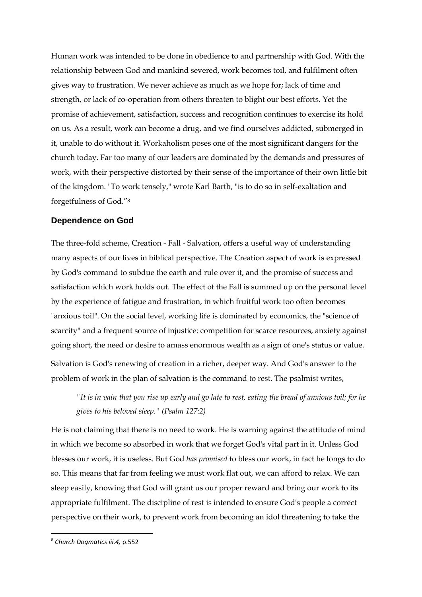Human work was intended to be done in obedience to and partnership with God. With the relationship between God and mankind severed, work becomes toil, and fulfilment often gives way to frustration. We never achieve as much as we hope for; lack of time and strength, or lack of co-operation from others threaten to blight our best efforts. Yet the promise of achievement, satisfaction, success and recognition continues to exercise its hold on us. As a result, work can become a drug, and we find ourselves addicted, submerged in it, unable to do without it. Workaholism poses one of the most significant dangers for the church today. Far too many of our leaders are dominated by the demands and pressures of work, with their perspective distorted by their sense of the importance of their own little bit of the kingdom. "To work tensely," wrote Karl Barth, "is to do so in self-exaltation and forgetfulness of God."<sup>8</sup>

## **Dependence on God**

The three-fold scheme, Creation - Fall - Salvation, offers a useful way of understanding many aspects of our lives in biblical perspective. The Creation aspect of work is expressed by God's command to subdue the earth and rule over it, and the promise of success and satisfaction which work holds out. The effect of the Fall is summed up on the personal level by the experience of fatigue and frustration, in which fruitful work too often becomes "anxious toil". On the social level, working life is dominated by economics, the "science of scarcity" and a frequent source of injustice: competition for scarce resources, anxiety against going short, the need or desire to amass enormous wealth as a sign of one's status or value. Salvation is God's renewing of creation in a richer, deeper way. And God's answer to the problem of work in the plan of salvation is the command to rest. The psalmist writes,

*"It is in vain that you rise up early and go late to rest, eating the bread of anxious toil; for he gives to his beloved sleep." (Psalm 127:2)*

He is not claiming that there is no need to work. He is warning against the attitude of mind in which we become so absorbed in work that we forget God's vital part in it. Unless God blesses our work, it is useless. But God *has promised* to bless our work, in fact he longs to do so. This means that far from feeling we must work flat out, we can afford to relax. We can sleep easily, knowing that God will grant us our proper reward and bring our work to its appropriate fulfilment. The discipline of rest is intended to ensure God's people a correct perspective on their work, to prevent work from becoming an idol threatening to take the

<sup>8</sup> *Church Dogmatics iii.4,* p.552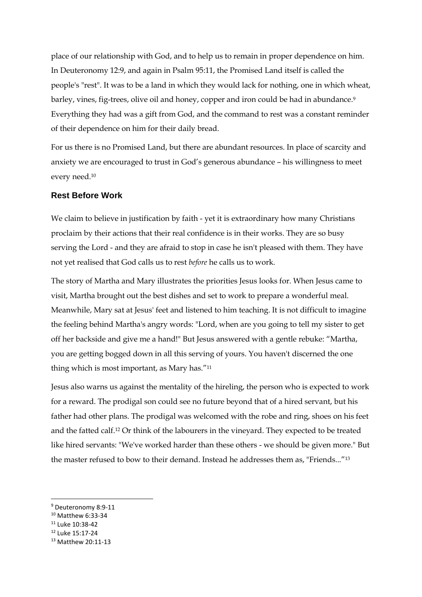place of our relationship with God, and to help us to remain in proper dependence on him. In Deuteronomy 12:9, and again in Psalm 95:11, the Promised Land itself is called the people's "rest". It was to be a land in which they would lack for nothing, one in which wheat, barley, vines, fig-trees, olive oil and honey, copper and iron could be had in abundance.<sup>9</sup> Everything they had was a gift from God, and the command to rest was a constant reminder of their dependence on him for their daily bread.

For us there is no Promised Land, but there are abundant resources. In place of scarcity and anxiety we are encouraged to trust in God's generous abundance – his willingness to meet every need.<sup>10</sup>

#### **Rest Before Work**

We claim to believe in justification by faith - yet it is extraordinary how many Christians proclaim by their actions that their real confidence is in their works. They are so busy serving the Lord - and they are afraid to stop in case he isn't pleased with them. They have not yet realised that God calls us to rest *before* he calls us to work.

The story of Martha and Mary illustrates the priorities Jesus looks for. When Jesus came to visit, Martha brought out the best dishes and set to work to prepare a wonderful meal. Meanwhile, Mary sat at Jesus' feet and listened to him teaching. It is not difficult to imagine the feeling behind Martha's angry words: "Lord, when are you going to tell my sister to get off her backside and give me a hand!" But Jesus answered with a gentle rebuke: "Martha, you are getting bogged down in all this serving of yours. You haven't discerned the one thing which is most important, as Mary has."<sup>11</sup>

Jesus also warns us against the mentality of the hireling, the person who is expected to work for a reward. The prodigal son could see no future beyond that of a hired servant, but his father had other plans. The prodigal was welcomed with the robe and ring, shoes on his feet and the fatted calf.<sup>12</sup> Or think of the labourers in the vineyard. They expected to be treated like hired servants: "We've worked harder than these others - we should be given more." But the master refused to bow to their demand. Instead he addresses them as, "Friends..."<sup>13</sup>

- <sup>10</sup> Matthew 6:33-34
- <sup>11</sup> Luke 10:38-42

**.** 

<sup>12</sup> Luke 15:17-24

<sup>&</sup>lt;sup>9</sup> Deuteronomy 8:9-11

<sup>13</sup> Matthew 20:11-13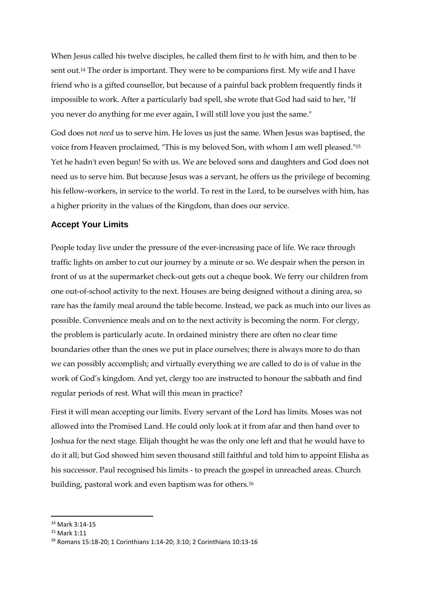When Jesus called his twelve disciples, he called them first to *be* with him, and then to be sent out.<sup>14</sup> The order is important. They were to be companions first. My wife and I have friend who is a gifted counsellor, but because of a painful back problem frequently finds it impossible to work. After a particularly bad spell, she wrote that God had said to her, "If you never do anything for me ever again, I will still love you just the same."

God does not *need* us to serve him. He loves us just the same. When Jesus was baptised, the voice from Heaven proclaimed, "This is my beloved Son, with whom I am well pleased."<sup>15</sup> Yet he hadn't even begun! So with us. We are beloved sons and daughters and God does not need us to serve him. But because Jesus was a servant, he offers us the privilege of becoming his fellow-workers, in service to the world. To rest in the Lord, to be ourselves with him, has a higher priority in the values of the Kingdom, than does our service.

## **Accept Your Limits**

People today live under the pressure of the ever-increasing pace of life. We race through traffic lights on amber to cut our journey by a minute or so. We despair when the person in front of us at the supermarket check-out gets out a cheque book. We ferry our children from one out-of-school activity to the next. Houses are being designed without a dining area, so rare has the family meal around the table become. Instead, we pack as much into our lives as possible. Convenience meals and on to the next activity is becoming the norm. For clergy, the problem is particularly acute. In ordained ministry there are often no clear time boundaries other than the ones we put in place ourselves; there is always more to do than we can possibly accomplish; and virtually everything we are called to do is of value in the work of God's kingdom. And yet, clergy too are instructed to honour the sabbath and find regular periods of rest. What will this mean in practice?

First it will mean accepting our limits. Every servant of the Lord has limits. Moses was not allowed into the Promised Land. He could only look at it from afar and then hand over to Joshua for the next stage. Elijah thought he was the only one left and that he would have to do it all; but God showed him seven thousand still faithful and told him to appoint Elisha as his successor. Paul recognised his limits - to preach the gospel in unreached areas. Church building, pastoral work and even baptism was for others.<sup>16</sup>

<sup>14</sup> Mark 3:14-15

<sup>15</sup> Mark 1:11

<sup>16</sup> Romans 15:18-20; 1 Corinthians 1:14-20; 3:10; 2 Corinthians 10:13-16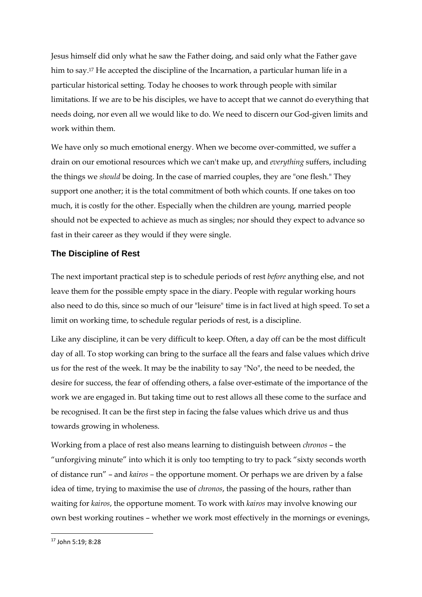Jesus himself did only what he saw the Father doing, and said only what the Father gave him to say.<sup>17</sup> He accepted the discipline of the Incarnation, a particular human life in a particular historical setting. Today he chooses to work through people with similar limitations. If we are to be his disciples, we have to accept that we cannot do everything that needs doing, nor even all we would like to do. We need to discern our God-given limits and work within them.

We have only so much emotional energy. When we become over-committed, we suffer a drain on our emotional resources which we can't make up, and *everything* suffers, including the things we *should* be doing. In the case of married couples, they are "one flesh." They support one another; it is the total commitment of both which counts. If one takes on too much, it is costly for the other. Especially when the children are young, married people should not be expected to achieve as much as singles; nor should they expect to advance so fast in their career as they would if they were single.

# **The Discipline of Rest**

The next important practical step is to schedule periods of rest *before* anything else, and not leave them for the possible empty space in the diary. People with regular working hours also need to do this, since so much of our "leisure" time is in fact lived at high speed. To set a limit on working time, to schedule regular periods of rest, is a discipline.

Like any discipline, it can be very difficult to keep. Often, a day off can be the most difficult day of all. To stop working can bring to the surface all the fears and false values which drive us for the rest of the week. It may be the inability to say "No", the need to be needed, the desire for success, the fear of offending others, a false over-estimate of the importance of the work we are engaged in. But taking time out to rest allows all these come to the surface and be recognised. It can be the first step in facing the false values which drive us and thus towards growing in wholeness.

Working from a place of rest also means learning to distinguish between *chronos* – the "unforgiving minute" into which it is only too tempting to try to pack "sixty seconds worth of distance run" – and *kairos –* the opportune moment. Or perhaps we are driven by a false idea of time, trying to maximise the use of *chronos*, the passing of the hours, rather than waiting for *kairos*, the opportune moment. To work with *kairos* may involve knowing our own best working routines – whether we work most effectively in the mornings or evenings,

<sup>17</sup> John 5:19; 8:28